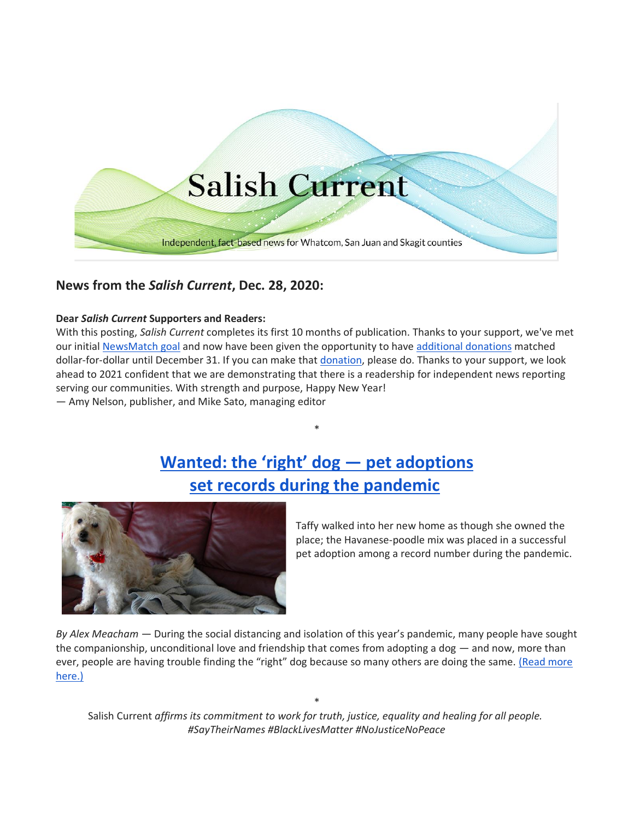

## **News from the** *Salish Current***, Dec. 28, 2020:**

#### **Dear** *Salish Current* **Supporters and Readers:**

With this posting, *Salish Current* completes its first 10 months of publication. Thanks to your support, we've met our initial [NewsMatch goal](https://salish-current.org/donate) and now have been given the opportunity to have [additional donations](https://salish-current.org/donate) matched dollar-for-dollar until December 31. If you can make that [donation,](https://salish-current.org/donate) please do. Thanks to your support, we look ahead to 2021 confident that we are demonstrating that there is a readership for independent news reporting serving our communities. With strength and purpose, Happy New Year!

— Amy Nelson, publisher, and Mike Sato, managing editor

# **[Wanted: the 'right' dog —](https://salish-current.org/2020/12/28/wanted-the-right-dog-pet-adoptions-set-records-during-the-pandemic/) pet adoptions [set records during the pandemic](https://salish-current.org/2020/12/28/wanted-the-right-dog-pet-adoptions-set-records-during-the-pandemic/)**

\*



Taffy walked into her new home as though she owned the place; the Havanese-poodle mix was placed in a successful pet adoption among a record number during the pandemic.

*By Alex Meacham* — During the social distancing and isolation of this year's pandemic, many people have sought the companionship, unconditional love and friendship that comes from adopting a dog — and now, more than ever, people are having trouble finding the "right" dog because so many others are doing the same. [\(Read more](https://salish-current.org/2020/12/28/wanted-the-right-dog-pet-adoptions-set-records-during-the-pandemic/)  [here.\)](https://salish-current.org/2020/12/28/wanted-the-right-dog-pet-adoptions-set-records-during-the-pandemic/)

\* Salish Current *affirms its commitment to work for truth, justice, equality and healing for all people. #SayTheirNames #BlackLivesMatter #NoJusticeNoPeace*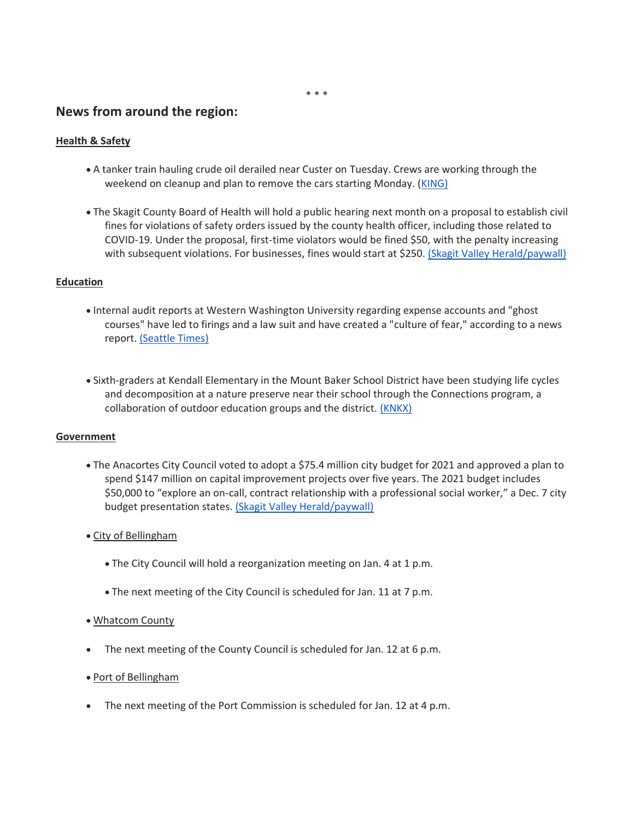### **News from around the region:**

#### **Health & Safety**

- A tanker train hauling crude oil derailed near Custer on Tuesday. Crews are working through the weekend on cleanup and plan to remove the cars starting Monday. [\(KING\)](https://www.king5.com/article/news/local/oil-train-derailment-car-removal-to-start-monday-whatcom-county/281-289cbf7e-f4be-4dd3-84e4-d62e58a1c5fd)
- The Skagit County Board of Health will hold a public hearing next month on a proposal to establish civil fines for violations of safety orders issued by the county health officer, including those related to COVID-19. Under the proposal, first-time violators would be fined \$50, with the penalty increasing with subsequent violations. For businesses, fines would start at \$250. [\(Skagit Valley Herald/paywall\)](https://www.goskagit.com/news/local_news/hearing-to-be-held-about-potential-fines-for-covid-19-safety-violations/article_15d29434-f8ef-56ea-86c8-c6c4372945b0.html)

#### **Education**

- Internal audit reports at Western Washington University regarding expense accounts and "ghost courses" have led to firings and a law suit and have created a "culture of fear," according to a news report. [\(Seattle Times\)](https://www.seattletimes.com/seattle-news/times-watchdog/culture-of-fear-at-western-washington-university-after-internal-auditors-fired-prompting-lawsuits-and-resignations/?utm_source=referral&utm_medium=mobile-app&utm_campaign=ios)
- Sixth-graders at Kendall Elementary in the Mount Baker School District have been studying life cycles and decomposition at a nature preserve near their school through the Connections program, a collaboration of outdoor education groups and the district. [\(KNKX\)](https://www.knkx.org/post/some-kids-have-been-learning-outdoors-months-whatcom-county-not-seattle)

#### **Government**

- The Anacortes City Council voted to adopt a \$75.4 million city budget for 2021 and approved a plan to spend \$147 million on capital improvement projects over five years. The 2021 budget includes \$50,000 to "explore an on-call, contract relationship with a professional social worker," a Dec. 7 city budget presentation states. [\(Skagit Valley Herald/paywall\)](https://www.goskagit.com/news/local_news/anacortes-approves-75-million-budget-for-2021/article_97401a3a-1b54-5c82-bea6-f1549a2eef0a.html)
- City of Bellingham
	- The City Council will hold a reorganization meeting on Jan. 4 at 1 p.m.
	- The next meeting of the City Council is scheduled for Jan. 11 at 7 p.m.

#### • Whatcom County

- The next meeting of the County Council is scheduled for Jan. 12 at 6 p.m.
- Port of Bellingham
- The next meeting of the Port Commission is scheduled for Jan. 12 at 4 p.m.